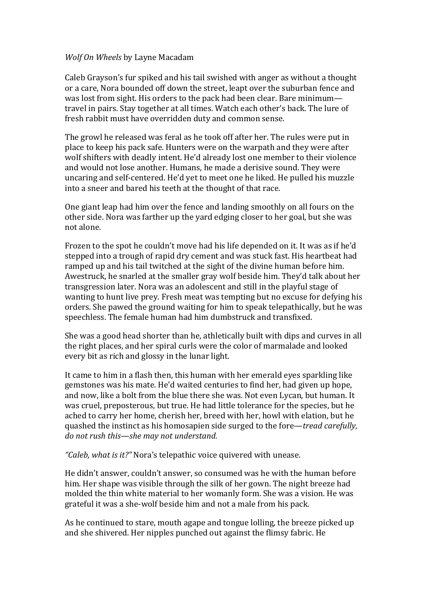## *Wolf On Wheels* by Layne Macadam

Caleb Grayson's fur spiked and his tail swished with anger as without a thought or a care, Nora bounded off down the street, leapt over the suburban fence and was lost from sight. His orders to the pack had been clear. Bare minimum travel in pairs. Stay together at all times. Watch each other's back. The lure of fresh rabbit must have overridden duty and common sense.

The growl he released was feral as he took off after her. The rules were put in place to keep his pack safe. Hunters were on the warpath and they were after wolf shifters with deadly intent. He'd already lost one member to their violence and would not lose another. Humans, he made a derisive sound. They were uncaring and self-centered. He'd yet to meet one he liked. He pulled his muzzle into a sneer and bared his teeth at the thought of that race.

One giant leap had him over the fence and landing smoothly on all fours on the other side. Nora was farther up the yard edging closer to her goal, but she was not alone. 

Frozen to the spot he couldn't move had his life depended on it. It was as if he'd stepped into a trough of rapid dry cement and was stuck fast. His heartbeat had ramped up and his tail twitched at the sight of the divine human before him. Awestruck, he snarled at the smaller gray wolf beside him. They'd talk about her transgression later. Nora was an adolescent and still in the playful stage of wanting to hunt live prey. Fresh meat was tempting but no excuse for defying his orders. She pawed the ground waiting for him to speak telepathically, but he was speechless. The female human had him dumbstruck and transfixed.

She was a good head shorter than he, athletically built with dips and curves in all the right places, and her spiral curls were the color of marmalade and looked every bit as rich and glossy in the lunar light.

It came to him in a flash then, this human with her emerald eyes sparkling like gemstones was his mate. He'd waited centuries to find her, had given up hope, and now, like a bolt from the blue there she was. Not even Lycan, but human. It was cruel, preposterous, but true. He had little tolerance for the species, but he ached to carry her home, cherish her, breed with her, howl with elation, but he quashed the instinct as his homosapien side surged to the fore—*tread carefully*, *do* not rush this—she may not understand.

*"Caleb, what is it?"* Nora's telepathic voice quivered with unease.

He didn't answer, couldn't answer, so consumed was he with the human before him. Her shape was visible through the silk of her gown. The night breeze had molded the thin white material to her womanly form. She was a vision. He was grateful it was a she-wolf beside him and not a male from his pack.

As he continued to stare, mouth agape and tongue lolling, the breeze picked up and she shivered. Her nipples punched out against the flimsy fabric. He